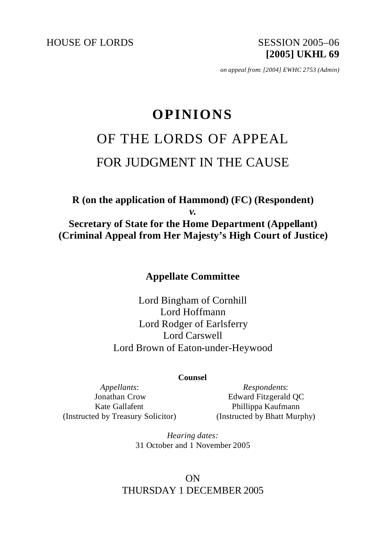HOUSE OF LORDS SESSION 2005-06

**[2005] UKHL 69**

*on appeal from: [2004] EWHC 2753 (Admin)*

# **OPINIONS** OF THE LORDS OF APPEAL FOR JUDGMENT IN THE CAUSE

**R (on the application of Hammond) (FC) (Respondent)** *v.* **Secretary of State for the Home Department (Appellant) (Criminal Appeal from Her Majesty's High Court of Justice)**

**Appellate Committee**

Lord Bingham of Cornhill Lord Hoffmann Lord Rodger of Earlsferry Lord Carswell Lord Brown of Eaton-under-Heywood

#### **Counsel**

*Appellants*: Jonathan Crow Kate Gallafent (Instructed by Treasury Solicitor)

*Respondents*: Edward Fitzgerald QC Phillippa Kaufmann (Instructed by Bhatt Murphy)

*Hearing dates:* 31 October and 1 November 2005

# ON THURSDAY 1 DECEMBER 2005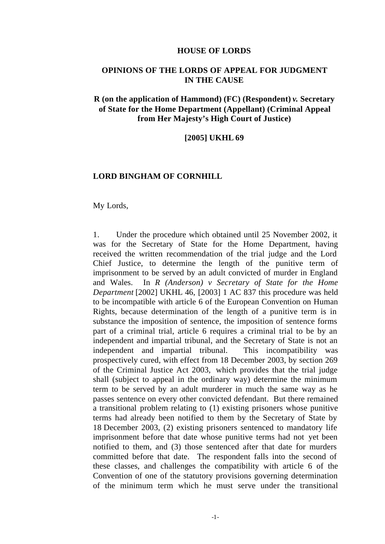#### **HOUSE OF LORDS**

## **OPINIONS OF THE LORDS OF APPEAL FOR JUDGMENT IN THE CAUSE**

# **R (on the application of Hammond) (FC) (Respondent)** *v.* **Secretary of State for the Home Department (Appellant) (Criminal Appeal from Her Majesty's High Court of Justice)**

**[2005] UKHL 69**

#### **LORD BINGHAM OF CORNHILL**

My Lords,

1. Under the procedure which obtained until 25 November 2002, it was for the Secretary of State for the Home Department, having received the written recommendation of the trial judge and the Lord Chief Justice, to determine the length of the punitive term of imprisonment to be served by an adult convicted of murder in England and Wales. In *R (Anderson) v Secretary of State for the Home Department* [2002] UKHL 46, [2003] 1 AC 837 this procedure was held to be incompatible with article 6 of the European Convention on Human Rights, because determination of the length of a punitive term is in substance the imposition of sentence, the imposition of sentence forms part of a criminal trial, article 6 requires a criminal trial to be by an independent and impartial tribunal, and the Secretary of State is not an independent and impartial tribunal. This incompatibility was prospectively cured, with effect from 18 December 2003, by section 269 of the Criminal Justice Act 2003, which provides that the trial judge shall (subject to appeal in the ordinary way) determine the minimum term to be served by an adult murderer in much the same way as he passes sentence on every other convicted defendant. But there remained a transitional problem relating to (1) existing prisoners whose punitive terms had already been notified to them by the Secretary of State by 18 December 2003, (2) existing prisoners sentenced to mandatory life imprisonment before that date whose punitive terms had not yet been notified to them, and (3) those sentenced after that date for murders committed before that date. The respondent falls into the second of these classes, and challenges the compatibility with article 6 of the Convention of one of the statutory provisions governing determination of the minimum term which he must serve under the transitional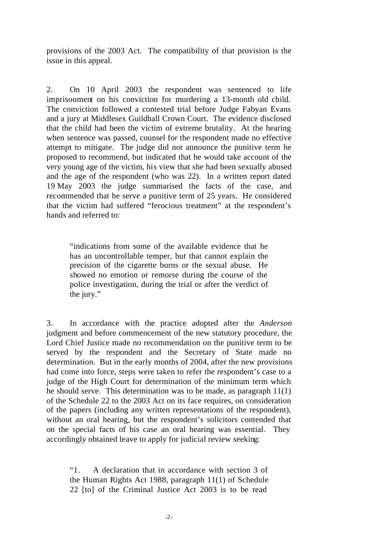provisions of the 2003 Act. The compatibility of that provision is the issue in this appeal.

2. On 10 April 2003 the respondent was sentenced to life imprisonment on his conviction for murdering a 13-month old child. The conviction followed a contested trial before Judge Fabyan Evans and a jury at Middlesex Guildhall Crown Court. The evidence disclosed that the child had been the victim of extreme brutality. At the hearing when sentence was passed, counsel for the respondent made no effective attempt to mitigate. The judge did not announce the punitive term he proposed to recommend, but indicated that he would take account of the very young age of the victim, his view that she had been sexually abused and the age of the respondent (who was 22). In a written report dated 19 May 2003 the judge summarised the facts of the case, and recommended that he serve a punitive term of 25 years. He considered that the victim had suffered "ferocious treatment" at the respondent's hands and referred to:

"indications from some of the available evidence that he has an uncontrollable temper, but that cannot explain the precision of the cigarette burns or the sexual abuse. He showed no emotion or remorse during the course of the police investigation, during the trial or after the verdict of the jury."

3. In accordance with the practice adopted after the *Anderson* judgment and before commencement of the new statutory procedure, the Lord Chief Justice made no recommendation on the punitive term to be served by the respondent and the Secretary of State made no determination. But in the early months of 2004, after the new provisions had come into force, steps were taken to refer the respondent's case to a judge of the High Court for determination of the minimum term which he should serve. This determination was to be made, as paragraph 11(1) of the Schedule 22 to the 2003 Act on its face requires, on consideration of the papers (including any written representations of the respondent), without an oral hearing, but the respondent's solicitors contended that on the special facts of his case an oral hearing was essential. They accordingly obtained leave to apply for judicial review seeking:

"1. A declaration that in accordance with section 3 of the Human Rights Act 1988, paragraph 11(1) of Schedule 22 [to] of the Criminal Justice Act 2003 is to be read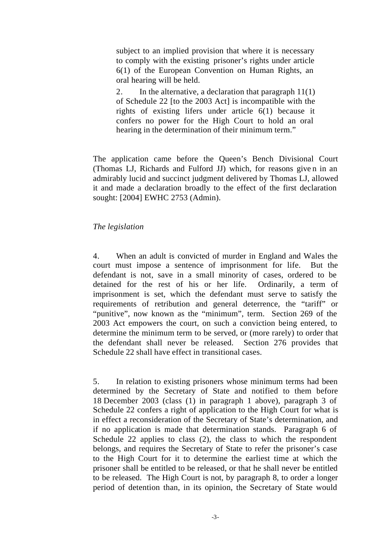subject to an implied provision that where it is necessary to comply with the existing prisoner's rights under article 6(1) of the European Convention on Human Rights, an oral hearing will be held.

2. In the alternative, a declaration that paragraph 11(1) of Schedule 22 [to the 2003 Act] is incompatible with the rights of existing lifers under article 6(1) because it confers no power for the High Court to hold an oral hearing in the determination of their minimum term."

The application came before the Queen's Bench Divisional Court (Thomas LJ, Richards and Fulford JJ) which, for reasons give n in an admirably lucid and succinct judgment delivered by Thomas LJ, allowed it and made a declaration broadly to the effect of the first declaration sought: [2004] EWHC 2753 (Admin).

### *The legislation*

4. When an adult is convicted of murder in England and Wales the court must impose a sentence of imprisonment for life. But the defendant is not, save in a small minority of cases, ordered to be detained for the rest of his or her life. Ordinarily, a term of imprisonment is set, which the defendant must serve to satisfy the requirements of retribution and general deterrence, the "tariff" or "punitive", now known as the "minimum", term. Section 269 of the 2003 Act empowers the court, on such a conviction being entered, to determine the minimum term to be served, or (more rarely) to order that the defendant shall never be released. Section 276 provides that Schedule 22 shall have effect in transitional cases.

5. In relation to existing prisoners whose minimum terms had been determined by the Secretary of State and notified to them before 18 December 2003 (class (1) in paragraph 1 above), paragraph 3 of Schedule 22 confers a right of application to the High Court for what is in effect a reconsideration of the Secretary of State's determination, and if no application is made that determination stands. Paragraph 6 of Schedule 22 applies to class (2), the class to which the respondent belongs, and requires the Secretary of State to refer the prisoner's case to the High Court for it to determine the earliest time at which the prisoner shall be entitled to be released, or that he shall never be entitled to be released. The High Court is not, by paragraph 8, to order a longer period of detention than, in its opinion, the Secretary of State would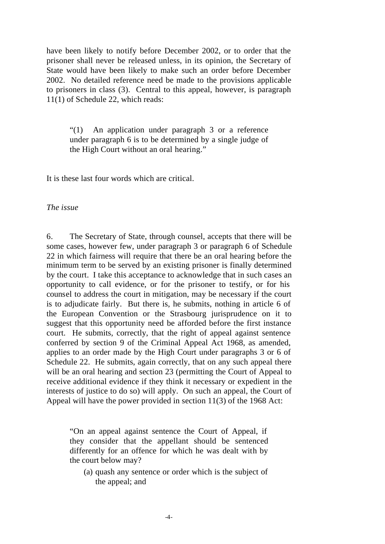have been likely to notify before December 2002, or to order that the prisoner shall never be released unless, in its opinion, the Secretary of State would have been likely to make such an order before December 2002. No detailed reference need be made to the provisions applicable to prisoners in class (3). Central to this appeal, however, is paragraph 11(1) of Schedule 22, which reads:

"(1) An application under paragraph 3 or a reference under paragraph 6 is to be determined by a single judge of the High Court without an oral hearing."

It is these last four words which are critical.

#### *The issue*

6. The Secretary of State, through counsel, accepts that there will be some cases, however few, under paragraph 3 or paragraph 6 of Schedule 22 in which fairness will require that there be an oral hearing before the minimum term to be served by an existing prisoner is finally determined by the court. I take this acceptance to acknowledge that in such cases an opportunity to call evidence, or for the prisoner to testify, or for his counsel to address the court in mitigation, may be necessary if the court is to adjudicate fairly. But there is, he submits, nothing in article 6 of the European Convention or the Strasbourg jurisprudence on it to suggest that this opportunity need be afforded before the first instance court. He submits, correctly, that the right of appeal against sentence conferred by section 9 of the Criminal Appeal Act 1968, as amended, applies to an order made by the High Court under paragraphs 3 or 6 of Schedule 22. He submits, again correctly, that on any such appeal there will be an oral hearing and section 23 (permitting the Court of Appeal to receive additional evidence if they think it necessary or expedient in the interests of justice to do so) will apply. On such an appeal, the Court of Appeal will have the power provided in section 11(3) of the 1968 Act:

"On an appeal against sentence the Court of Appeal, if they consider that the appellant should be sentenced differently for an offence for which he was dealt with by the court below may?

(a) quash any sentence or order which is the subject of the appeal; and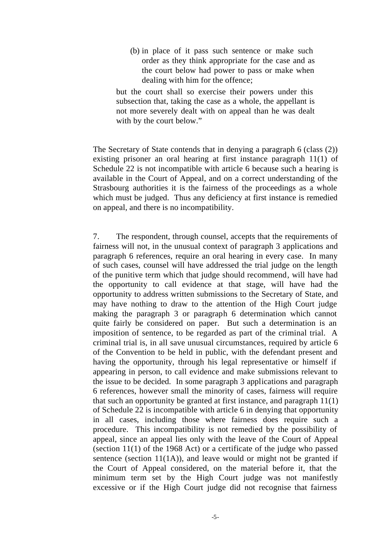(b) in place of it pass such sentence or make such order as they think appropriate for the case and as the court below had power to pass or make when dealing with him for the offence;

but the court shall so exercise their powers under this subsection that, taking the case as a whole, the appellant is not more severely dealt with on appeal than he was dealt with by the court below."

The Secretary of State contends that in denying a paragraph 6 (class (2)) existing prisoner an oral hearing at first instance paragraph 11(1) of Schedule 22 is not incompatible with article 6 because such a hearing is available in the Court of Appeal, and on a correct understanding of the Strasbourg authorities it is the fairness of the proceedings as a whole which must be judged. Thus any deficiency at first instance is remedied on appeal, and there is no incompatibility.

7. The respondent, through counsel, accepts that the requirements of fairness will not, in the unusual context of paragraph 3 applications and paragraph 6 references, require an oral hearing in every case. In many of such cases, counsel will have addressed the trial judge on the length of the punitive term which that judge should recommend, will have had the opportunity to call evidence at that stage, will have had the opportunity to address written submissions to the Secretary of State, and may have nothing to draw to the attention of the High Court judge making the paragraph 3 or paragraph 6 determination which cannot quite fairly be considered on paper. But such a determination is an imposition of sentence, to be regarded as part of the criminal trial. A criminal trial is, in all save unusual circumstances, required by article 6 of the Convention to be held in public, with the defendant present and having the opportunity, through his legal representative or himself if appearing in person, to call evidence and make submissions relevant to the issue to be decided. In some paragraph 3 applications and paragraph 6 references, however small the minority of cases, fairness will require that such an opportunity be granted at first instance, and paragraph 11(1) of Schedule 22 is incompatible with article 6 in denying that opportunity in all cases, including those where fairness does require such a procedure. This incompatibility is not remedied by the possibility of appeal, since an appeal lies only with the leave of the Court of Appeal (section 11(1) of the 1968 Act) or a certificate of the judge who passed sentence (section  $11(1A)$ ), and leave would or might not be granted if the Court of Appeal considered, on the material before it, that the minimum term set by the High Court judge was not manifestly excessive or if the High Court judge did not recognise that fairness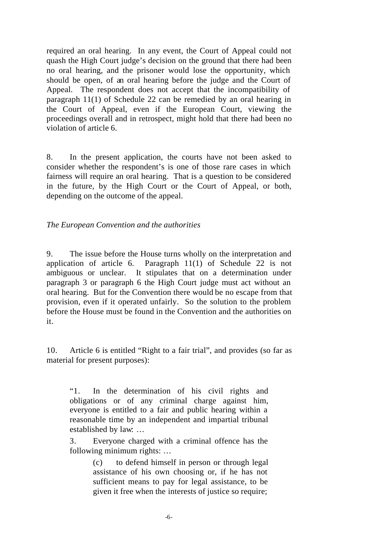required an oral hearing. In any event, the Court of Appeal could not quash the High Court judge's decision on the ground that there had been no oral hearing, and the prisoner would lose the opportunity, which should be open, of an oral hearing before the judge and the Court of Appeal. The respondent does not accept that the incompatibility of paragraph 11(1) of Schedule 22 can be remedied by an oral hearing in the Court of Appeal, even if the European Court, viewing the proceedings overall and in retrospect, might hold that there had been no violation of article 6.

8. In the present application, the courts have not been asked to consider whether the respondent's is one of those rare cases in which fairness will require an oral hearing. That is a question to be considered in the future, by the High Court or the Court of Appeal, or both, depending on the outcome of the appeal.

*The European Convention and the authorities*

9. The issue before the House turns wholly on the interpretation and application of article 6. Paragraph 11(1) of Schedule 22 is not ambiguous or unclear. It stipulates that on a determination under paragraph 3 or paragraph 6 the High Court judge must act without an oral hearing. But for the Convention there would be no escape from that provision, even if it operated unfairly. So the solution to the problem before the House must be found in the Convention and the authorities on it.

10. Article 6 is entitled "Right to a fair trial", and provides (so far as material for present purposes):

"1. In the determination of his civil rights and obligations or of any criminal charge against him, everyone is entitled to a fair and public hearing within a reasonable time by an independent and impartial tribunal established by law: …

3. Everyone charged with a criminal offence has the following minimum rights: …

> (c) to defend himself in person or through legal assistance of his own choosing or, if he has not sufficient means to pay for legal assistance, to be given it free when the interests of justice so require;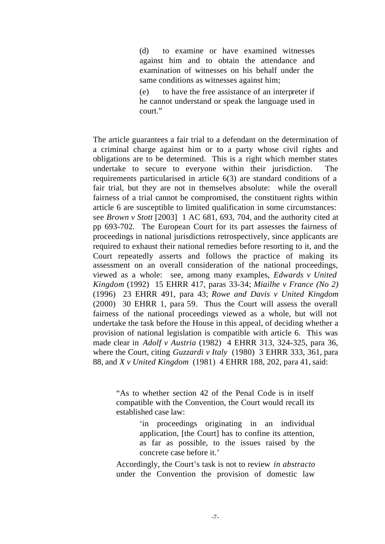(d) to examine or have examined witnesses against him and to obtain the attendance and examination of witnesses on his behalf under the same conditions as witnesses against him;

(e) to have the free assistance of an interpreter if he cannot understand or speak the language used in court<sup>"</sup>

The article guarantees a fair trial to a defendant on the determination of a criminal charge against him or to a party whose civil rights and obligations are to be determined. This is a right which member states undertake to secure to everyone within their jurisdiction. requirements particularised in article 6(3) are standard conditions of a fair trial, but they are not in themselves absolute: while the overall fairness of a trial cannot be compromised, the constituent rights within article 6 are susceptible to limited qualification in some circumstances: see *Brown v Stott* [2003] 1 AC 681, 693, 704, and the authority cited at pp 693-702. The European Court for its part assesses the fairness of proceedings in national jurisdictions retrospectively, since applicants are required to exhaust their national remedies before resorting to it, and the Court repeatedly asserts and follows the practice of making its assessment on an overall consideration of the national proceedings, viewed as a whole: see, among many examples, *Edwards v United Kingdom* (1992) 15 EHRR 417, paras 33-34; *Miailhe v France (No 2)* (1996) 23 EHRR 491, para 43; *Rowe and Davis v United Kingdom* (2000) 30 EHRR 1, para 59. Thus the Court will assess the overall fairness of the national proceedings viewed as a whole, but will not undertake the task before the House in this appeal, of deciding whether a provision of national legislation is compatible with article 6. This was made clear in *Adolf v Austria* (1982) 4 EHRR 313, 324-325, para 36, where the Court, citing *Guzzardi v Italy* (1980) 3 EHRR 333, 361, para 88, and *X v United Kingdom* (1981) 4 EHRR 188, 202, para 41, said:

"As to whether section 42 of the Penal Code is in itself compatible with the Convention, the Court would recall its established case law:

> 'in proceedings originating in an individual application, [the Court] has to confine its attention, as far as possible, to the issues raised by the concrete case before it.'

Accordingly, the Court's task is not to review *in abstracto* under the Convention the provision of domestic law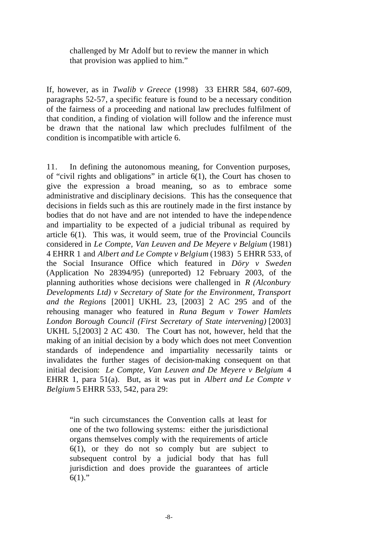challenged by Mr Adolf but to review the manner in which that provision was applied to him."

If, however, as in *Twalib v Greece* (1998) 33 EHRR 584, 607-609, paragraphs 52-57, a specific feature is found to be a necessary condition of the fairness of a proceeding and national law precludes fulfilment of that condition, a finding of violation will follow and the inference must be drawn that the national law which precludes fulfilment of the condition is incompatible with article 6.

11. In defining the autonomous meaning, for Convention purposes, of "civil rights and obligations" in article 6(1), the Court has chosen to give the expression a broad meaning, so as to embrace some administrative and disciplinary decisions. This has the consequence that decisions in fields such as this are routinely made in the first instance by bodies that do not have and are not intended to have the independence and impartiality to be expected of a judicial tribunal as required by article 6(1). This was, it would seem, true of the Provincial Councils considered in *Le Compte, Van Leuven and De Meyere v Belgium* (1981) 4 EHRR 1 and *Albert and Le Compte v Belgium* (1983) 5 EHRR 533, of the Social Insurance Office which featured in *Döry v Sweden* (Application No 28394/95) (unreported) 12 February 2003, of the planning authorities whose decisions were challenged in *R (Alconbury Developments Ltd) v Secretary of State for the Environment, Transport and the Regions* [2001] UKHL 23, [2003] 2 AC 295 and of the rehousing manager who featured in *Runa Begum v Tower Hamlets London Borough Council (First Secretary of State intervening)* [2003] UKHL 5,[2003] 2 AC 430. The Court has not, however, held that the making of an initial decision by a body which does not meet Convention standards of independence and impartiality necessarily taints or invalidates the further stages of decision-making consequent on that initial decision: *Le Compte, Van Leuven and De Meyere v Belgium* 4 EHRR 1, para 51(a). But, as it was put in *Albert and Le Compte v Belgium* 5 EHRR 533, 542, para 29:

"in such circumstances the Convention calls at least for one of the two following systems: either the jurisdictional organs themselves comply with the requirements of article 6(1), or they do not so comply but are subject to subsequent control by a judicial body that has full jurisdiction and does provide the guarantees of article  $6(1)$ ."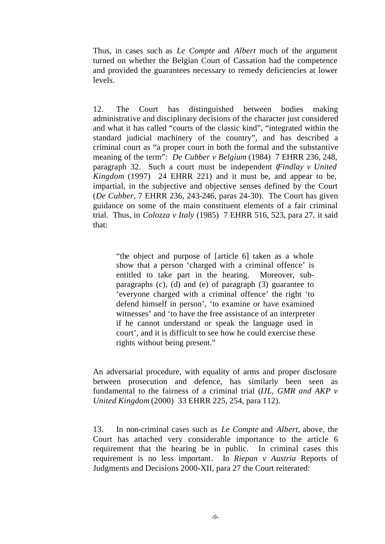Thus, in cases such as *Le Compte* and *Albert* much of the argument turned on whether the Belgian Court of Cassation had the competence and provided the guarantees necessary to remedy deficiencies at lower levels.

12. The Court has distinguished between bodies making administrative and disciplinary decisions of the character just considered and what it has called "courts of the classic kind", "integrated within the standard judicial machinery of the country", and has described a criminal court as "a proper court in both the formal and the substantive meaning of the term": *De Cubber v Belgium* (1984) 7 EHRR 236, 248, paragraph 32. Such a court must be independent (*Findlay v United Kingdom* (1997) 24 EHRR 221) and it must be, and appear to be, impartial, in the subjective and objective senses defined by the Court (*De Cubber*, 7 EHRR 236, 243-246, paras 24-30). The Court has given guidance on some of the main constituent elements of a fair criminal trial. Thus, in *Colozza v Italy* (1985) 7 EHRR 516, 523, para 27, it said that:

"the object and purpose of [article 6] taken as a whole show that a person 'charged with a criminal offence' is entitled to take part in the hearing. Moreover, subparagraphs (c), (d) and (e) of paragraph (3) guarantee to 'everyone charged with a criminal offence' the right 'to defend himself in person', 'to examine or have examined witnesses' and 'to have the free assistance of an interpreter if he cannot understand or speak the language used in court', and it is difficult to see how he could exercise these rights without being present."

An adversarial procedure, with equality of arms and proper disclosure between prosecution and defence, has similarly been seen as fundamental to the fairness of a criminal trial (*IJL, GMR and AKP v United Kingdom* (2000) 33 EHRR 225, 254, para 112).

13. In non-criminal cases such as *Le Compte* and *Albert,* above, the Court has attached very considerable importance to the article 6 requirement that the hearing be in public. In criminal cases this requirement is no less important. In *Riepan v Austria* Reports of Judgments and Decisions 2000-XII, para 27 the Court reiterated: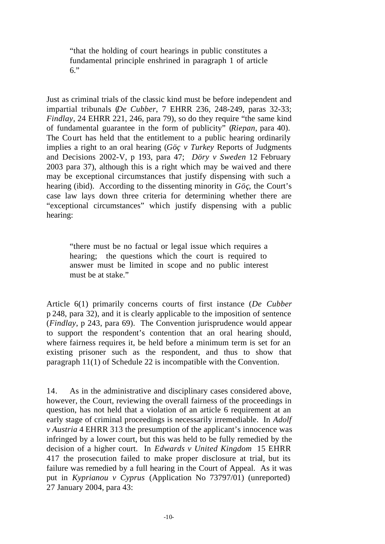"that the holding of court hearings in public constitutes a fundamental principle enshrined in paragraph 1 of article 6."

Just as criminal trials of the classic kind must be before independent and impartial tribunals (*De Cubber*, 7 EHRR 236, 248-249, paras 32-33; *Findlay*, 24 EHRR 221, 246, para 79), so do they require "the same kind of fundamental guarantee in the form of publicity" (*Riepan*, para 40). The Court has held that the entitlement to a public hearing ordinarily implies a right to an oral hearing (*Göç v Turkey* Reports of Judgments and Decisions 2002-V, p 193, para 47; *Döry v Sweden* 12 February 2003 para 37), although this is a right which may be waived and there may be exceptional circumstances that justify dispensing with such a hearing (ibid). According to the dissenting minority in *Göç*, the Court's case law lays down three criteria for determining whether there are "exceptional circumstances" which justify dispensing with a public hearing:

"there must be no factual or legal issue which requires a hearing; the questions which the court is required to answer must be limited in scope and no public interest must be at stake."

Article 6(1) primarily concerns courts of first instance (*De Cubber* p 248, para 32), and it is clearly applicable to the imposition of sentence (*Findlay*, p 243, para 69). The Convention jurisprudence would appear to support the respondent's contention that an oral hearing should, where fairness requires it, be held before a minimum term is set for an existing prisoner such as the respondent, and thus to show that paragraph 11(1) of Schedule 22 is incompatible with the Convention.

14. As in the administrative and disciplinary cases considered above, however, the Court, reviewing the overall fairness of the proceedings in question, has not held that a violation of an article 6 requirement at an early stage of criminal proceedings is necessarily irremediable. In *Adolf v Austria* 4 EHRR 313 the presumption of the applicant's innocence was infringed by a lower court, but this was held to be fully remedied by the decision of a higher court. In *Edwards v United Kingdom* 15 EHRR 417 the prosecution failed to make proper disclosure at trial, but its failure was remedied by a full hearing in the Court of Appeal. As it was put in *Kyprianou v Cyprus* (Application No 73797/01) (unreported) 27 January 2004, para 43: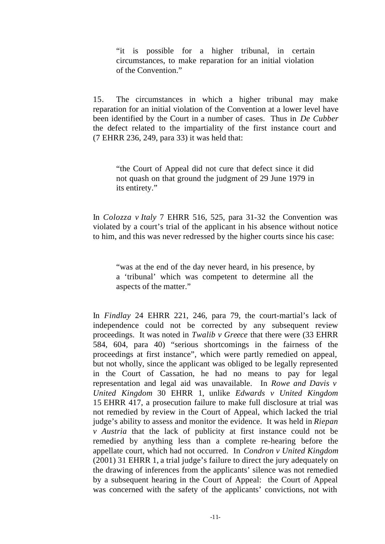"it is possible for a higher tribunal, in certain circumstances, to make reparation for an initial violation of the Convention."

15. The circumstances in which a higher tribunal may make reparation for an initial violation of the Convention at a lower level have been identified by the Court in a number of cases. Thus in *De Cubber* the defect related to the impartiality of the first instance court and (7 EHRR 236, 249, para 33) it was held that:

"the Court of Appeal did not cure that defect since it did not quash on that ground the judgment of 29 June 1979 in its entirety."

In *Colozza v Italy* 7 EHRR 516, 525, para 31-32 the Convention was violated by a court's trial of the applicant in his absence without notice to him, and this was never redressed by the higher courts since his case:

"was at the end of the day never heard, in his presence, by a 'tribunal' which was competent to determine all the aspects of the matter."

In *Findlay* 24 EHRR 221, 246, para 79, the court-martial's lack of independence could not be corrected by any subsequent review proceedings. It was noted in *Twalib v Greece* that there were (33 EHRR 584, 604, para 40) "serious shortcomings in the fairness of the proceedings at first instance", which were partly remedied on appeal, but not wholly, since the applicant was obliged to be legally represented in the Court of Cassation, he had no means to pay for legal representation and legal aid was unavailable. In *Rowe and Davis v United Kingdom* 30 EHRR 1, unlike *Edwards v United Kingdom* 15 EHRR 417, a prosecution failure to make full disclosure at trial was not remedied by review in the Court of Appeal, which lacked the trial judge's ability to assess and monitor the evidence. It was held in *Riepan v Austria* that the lack of publicity at first instance could not be remedied by anything less than a complete re-hearing before the appellate court, which had not occurred. In *Condron v United Kingdom* (2001) 31 EHRR 1, a trial judge's failure to direct the jury adequately on the drawing of inferences from the applicants' silence was not remedied by a subsequent hearing in the Court of Appeal: the Court of Appeal was concerned with the safety of the applicants' convictions, not with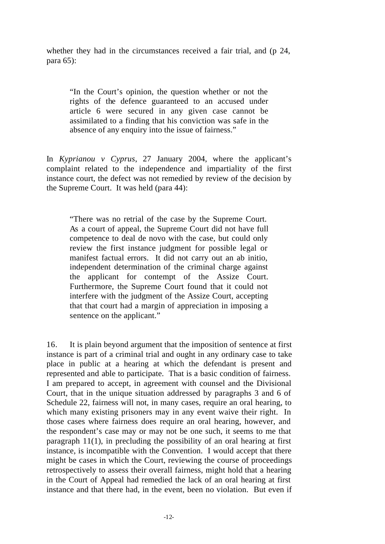whether they had in the circumstances received a fair trial, and (p 24, para 65):

"In the Court's opinion, the question whether or not the rights of the defence guaranteed to an accused under article 6 were secured in any given case cannot be assimilated to a finding that his conviction was safe in the absence of any enquiry into the issue of fairness."

In *Kyprianou v Cyprus*, 27 January 2004, where the applicant's complaint related to the independence and impartiality of the first instance court, the defect was not remedied by review of the decision by the Supreme Court. It was held (para 44):

"There was no retrial of the case by the Supreme Court. As a court of appeal, the Supreme Court did not have full competence to deal de novo with the case, but could only review the first instance judgment for possible legal or manifest factual errors. It did not carry out an ab initio, independent determination of the criminal charge against the applicant for contempt of the Assize Court. Furthermore, the Supreme Court found that it could not interfere with the judgment of the Assize Court, accepting that that court had a margin of appreciation in imposing a sentence on the applicant."

16. It is plain beyond argument that the imposition of sentence at first instance is part of a criminal trial and ought in any ordinary case to take place in public at a hearing at which the defendant is present and represented and able to participate. That is a basic condition of fairness. I am prepared to accept, in agreement with counsel and the Divisional Court, that in the unique situation addressed by paragraphs 3 and 6 of Schedule 22, fairness will not, in many cases, require an oral hearing, to which many existing prisoners may in any event waive their right. In those cases where fairness does require an oral hearing, however, and the respondent's case may or may not be one such, it seems to me that paragraph 11(1), in precluding the possibility of an oral hearing at first instance, is incompatible with the Convention. I would accept that there might be cases in which the Court, reviewing the course of proceedings retrospectively to assess their overall fairness, might hold that a hearing in the Court of Appeal had remedied the lack of an oral hearing at first instance and that there had, in the event, been no violation. But even if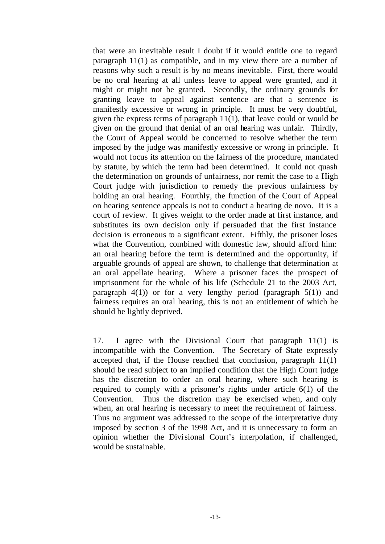that were an inevitable result I doubt if it would entitle one to regard paragraph 11(1) as compatible, and in my view there are a number of reasons why such a result is by no means inevitable. First, there would be no oral hearing at all unless leave to appeal were granted, and it might or might not be granted. Secondly, the ordinary grounds for granting leave to appeal against sentence are that a sentence is manifestly excessive or wrong in principle. It must be very doubtful, given the express terms of paragraph 11(1), that leave could or would be given on the ground that denial of an oral hearing was unfair. Thirdly, the Court of Appeal would be concerned to resolve whether the term imposed by the judge was manifestly excessive or wrong in principle. It would not focus its attention on the fairness of the procedure, mandated by statute, by which the term had been determined. It could not quash the determination on grounds of unfairness, nor remit the case to a High Court judge with jurisdiction to remedy the previous unfairness by holding an oral hearing. Fourthly, the function of the Court of Appeal on hearing sentence appeals is not to conduct a hearing de novo. It is a court of review. It gives weight to the order made at first instance, and substitutes its own decision only if persuaded that the first instance decision is erroneous to a significant extent. Fifthly, the prisoner loses what the Convention, combined with domestic law, should afford him: an oral hearing before the term is determined and the opportunity, if arguable grounds of appeal are shown, to challenge that determination at an oral appellate hearing. Where a prisoner faces the prospect of imprisonment for the whole of his life (Schedule 21 to the 2003 Act, paragraph  $4(1)$  or for a very lengthy period (paragraph  $5(1)$ ) and fairness requires an oral hearing, this is not an entitlement of which he should be lightly deprived.

17. I agree with the Divisional Court that paragraph 11(1) is incompatible with the Convention. The Secretary of State expressly accepted that, if the House reached that conclusion, paragraph 11(1) should be read subject to an implied condition that the High Court judge has the discretion to order an oral hearing, where such hearing is required to comply with a prisoner's rights under article 6(1) of the Convention. Thus the discretion may be exercised when, and only when, an oral hearing is necessary to meet the requirement of fairness. Thus no argument was addressed to the scope of the interpretative duty imposed by section 3 of the 1998 Act, and it is unnecessary to form an opinion whether the Divisional Court's interpolation, if challenged, would be sustainable.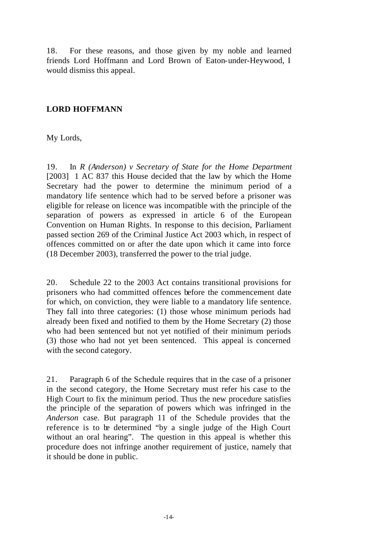18. For these reasons, and those given by my noble and learned friends Lord Hoffmann and Lord Brown of Eaton-under-Heywood, I would dismiss this appeal.

# **LORD HOFFMANN**

My Lords,

19. In *R (Anderson) v Secretary of State for the Home Department* [2003] 1 AC 837 this House decided that the law by which the Home Secretary had the power to determine the minimum period of a mandatory life sentence which had to be served before a prisoner was eligible for release on licence was incompatible with the principle of the separation of powers as expressed in article 6 of the European Convention on Human Rights. In response to this decision, Parliament passed section 269 of the Criminal Justice Act 2003 which, in respect of offences committed on or after the date upon which it came into force (18 December 2003), transferred the power to the trial judge.

20. Schedule 22 to the 2003 Act contains transitional provisions for prisoners who had committed offences before the commencement date for which, on conviction, they were liable to a mandatory life sentence. They fall into three categories: (1) those whose minimum periods had already been fixed and notified to them by the Home Secretary (2) those who had been sentenced but not yet notified of their minimum periods (3) those who had not yet been sentenced. This appeal is concerned with the second category.

21. Paragraph 6 of the Schedule requires that in the case of a prisoner in the second category, the Home Secretary must refer his case to the High Court to fix the minimum period. Thus the new procedure satisfies the principle of the separation of powers which was infringed in the *Anderson* case. But paragraph 11 of the Schedule provides that the reference is to be determined "by a single judge of the High Court without an oral hearing". The question in this appeal is whether this procedure does not infringe another requirement of justice, namely that it should be done in public.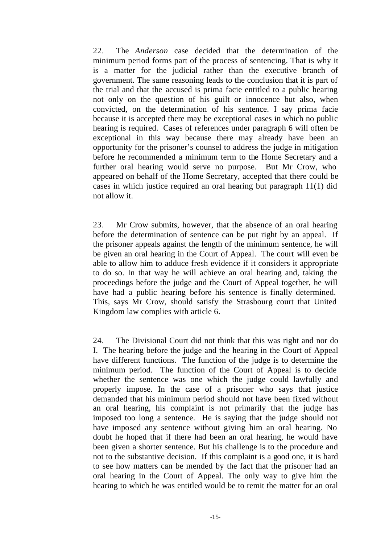22. The *Anderson* case decided that the determination of the minimum period forms part of the process of sentencing. That is why it is a matter for the judicial rather than the executive branch of government. The same reasoning leads to the conclusion that it is part of the trial and that the accused is prima facie entitled to a public hearing not only on the question of his guilt or innocence but also, when convicted, on the determination of his sentence. I say prima facie because it is accepted there may be exceptional cases in which no public hearing is required. Cases of references under paragraph 6 will often be exceptional in this way because there may already have been an opportunity for the prisoner's counsel to address the judge in mitigation before he recommended a minimum term to the Home Secretary and a further oral hearing would serve no purpose. But Mr Crow, who appeared on behalf of the Home Secretary, accepted that there could be cases in which justice required an oral hearing but paragraph 11(1) did not allow it.

23. Mr Crow submits, however, that the absence of an oral hearing before the determination of sentence can be put right by an appeal. If the prisoner appeals against the length of the minimum sentence, he will be given an oral hearing in the Court of Appeal. The court will even be able to allow him to adduce fresh evidence if it considers it appropriate to do so. In that way he will achieve an oral hearing and, taking the proceedings before the judge and the Court of Appeal together, he will have had a public hearing before his sentence is finally determined. This, says Mr Crow, should satisfy the Strasbourg court that United Kingdom law complies with article 6.

24. The Divisional Court did not think that this was right and nor do I. The hearing before the judge and the hearing in the Court of Appeal have different functions. The function of the judge is to determine the minimum period. The function of the Court of Appeal is to decide whether the sentence was one which the judge could lawfully and properly impose. In the case of a prisoner who says that justice demanded that his minimum period should not have been fixed without an oral hearing, his complaint is not primarily that the judge has imposed too long a sentence. He is saying that the judge should not have imposed any sentence without giving him an oral hearing. No doubt he hoped that if there had been an oral hearing, he would have been given a shorter sentence. But his challenge is to the procedure and not to the substantive decision. If this complaint is a good one, it is hard to see how matters can be mended by the fact that the prisoner had an oral hearing in the Court of Appeal. The only way to give him the hearing to which he was entitled would be to remit the matter for an oral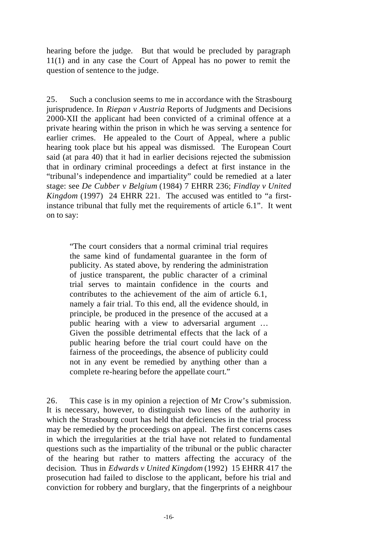hearing before the judge. But that would be precluded by paragraph 11(1) and in any case the Court of Appeal has no power to remit the question of sentence to the judge.

25. Such a conclusion seems to me in accordance with the Strasbourg jurisprudence. In *Riepan v Austria* Reports of Judgments and Decisions 2000-XII the applicant had been convicted of a criminal offence at a private hearing within the prison in which he was serving a sentence for earlier crimes. He appealed to the Court of Appeal, where a public hearing took place but his appeal was dismissed. The European Court said (at para 40) that it had in earlier decisions rejected the submission that in ordinary criminal proceedings a defect at first instance in the "tribunal's independence and impartiality" could be remedied at a later stage: see *De Cubber v Belgium* (1984) 7 EHRR 236; *Findlay v United Kingdom* (1997) 24 EHRR 221. The accused was entitled to "a firstinstance tribunal that fully met the requirements of article 6.1". It went on to say:

"The court considers that a normal criminal trial requires the same kind of fundamental guarantee in the form of publicity. As stated above, by rendering the administration of justice transparent, the public character of a criminal trial serves to maintain confidence in the courts and contributes to the achievement of the aim of article 6.1, namely a fair trial. To this end, all the evidence should, in principle, be produced in the presence of the accused at a public hearing with a view to adversarial argument … Given the possible detrimental effects that the lack of a public hearing before the trial court could have on the fairness of the proceedings, the absence of publicity could not in any event be remedied by anything other than a complete re-hearing before the appellate court."

26. This case is in my opinion a rejection of Mr Crow's submission. It is necessary, however, to distinguish two lines of the authority in which the Strasbourg court has held that deficiencies in the trial process may be remedied by the proceedings on appeal. The first concerns cases in which the irregularities at the trial have not related to fundamental questions such as the impartiality of the tribunal or the public character of the hearing but rather to matters affecting the accuracy of the decision. Thus in *Edwards v United Kingdom* (1992) 15 EHRR 417 the prosecution had failed to disclose to the applicant, before his trial and conviction for robbery and burglary, that the fingerprints of a neighbour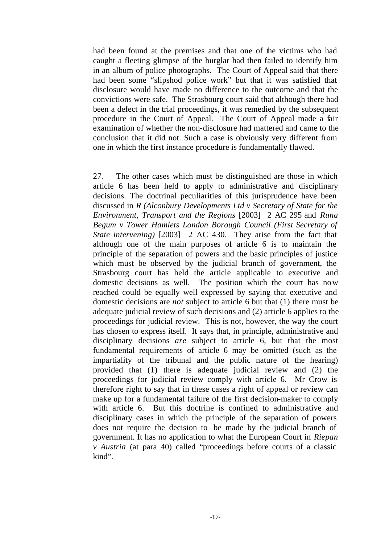had been found at the premises and that one of the victims who had caught a fleeting glimpse of the burglar had then failed to identify him in an album of police photographs. The Court of Appeal said that there had been some "slipshod police work" but that it was satisfied that disclosure would have made no difference to the outcome and that the convictions were safe. The Strasbourg court said that although there had been a defect in the trial proceedings, it was remedied by the subsequent procedure in the Court of Appeal. The Court of Appeal made a fair examination of whether the non-disclosure had mattered and came to the conclusion that it did not. Such a case is obviously very different from one in which the first instance procedure is fundamentally flawed.

27. The other cases which must be distinguished are those in which article 6 has been held to apply to administrative and disciplinary decisions. The doctrinal peculiarities of this jurisprudence have been discussed in *R (Alconbury Developments Ltd v Secretary of State for the Environment, Transport and the Regions* [2003] 2 AC 295 and *Runa Begum v Tower Hamlets London Borough Council (First Secretary of State intervening)* [2003] 2 AC 430. They arise from the fact that although one of the main purposes of article 6 is to maintain the principle of the separation of powers and the basic principles of justice which must be observed by the judicial branch of government, the Strasbourg court has held the article applicable to executive and domestic decisions as well. The position which the court has now reached could be equally well expressed by saying that executive and domestic decisions are *not* subject to article 6 but that (1) there must be adequate judicial review of such decisions and (2) article 6 applies to the proceedings for judicial review. This is not, however, the way the court has chosen to express itself. It says that, in principle, administrative and disciplinary decisions *are* subject to article 6, but that the most fundamental requirements of article 6 may be omitted (such as the impartiality of the tribunal and the public nature of the hearing) provided that (1) there is adequate judicial review and (2) the proceedings for judicial review comply with article 6. Mr Crow is therefore right to say that in these cases a right of appeal or review can make up for a fundamental failure of the first decision-maker to comply with article 6. But this doctrine is confined to administrative and disciplinary cases in which the principle of the separation of powers does not require the decision to be made by the judicial branch of government. It has no application to what the European Court in *Riepan v Austria* (at para 40) called "proceedings before courts of a classic kind".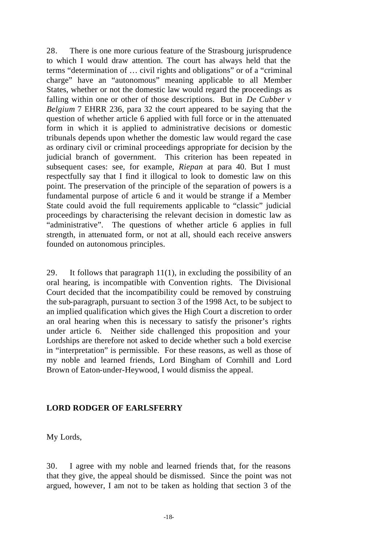28. There is one more curious feature of the Strasbourg jurisprudence to which I would draw attention. The court has always held that the terms "determination of … civil rights and obligations" or of a "criminal charge" have an "autonomous" meaning applicable to all Member States, whether or not the domestic law would regard the proceedings as falling within one or other of those descriptions. But in *De Cubber v Belgium* 7 EHRR 236, para 32 the court appeared to be saying that the question of whether article 6 applied with full force or in the attenuated form in which it is applied to administrative decisions or domestic tribunals depends upon whether the domestic law would regard the case as ordinary civil or criminal proceedings appropriate for decision by the judicial branch of government. This criterion has been repeated in subsequent cases: see, for example, *Riepan* at para 40. But I must respectfully say that I find it illogical to look to domestic law on this point. The preservation of the principle of the separation of powers is a fundamental purpose of article 6 and it would be strange if a Member State could avoid the full requirements applicable to "classic" judicial proceedings by characterising the relevant decision in domestic law as "administrative". The questions of whether article 6 applies in full strength, in attenuated form, or not at all, should each receive answers founded on autonomous principles.

29. It follows that paragraph  $11(1)$ , in excluding the possibility of an oral hearing, is incompatible with Convention rights. The Divisional Court decided that the incompatibility could be removed by construing the sub-paragraph, pursuant to section 3 of the 1998 Act, to be subject to an implied qualification which gives the High Court a discretion to order an oral hearing when this is necessary to satisfy the prisoner's rights under article 6. Neither side challenged this proposition and your Lordships are therefore not asked to decide whether such a bold exercise in "interpretation" is permissible. For these reasons, as well as those of my noble and learned friends, Lord Bingham of Cornhill and Lord Brown of Eaton-under-Heywood, I would dismiss the appeal.

## **LORD RODGER OF EARLSFERRY**

My Lords,

30. I agree with my noble and learned friends that, for the reasons that they give, the appeal should be dismissed. Since the point was not argued, however, I am not to be taken as holding that section 3 of the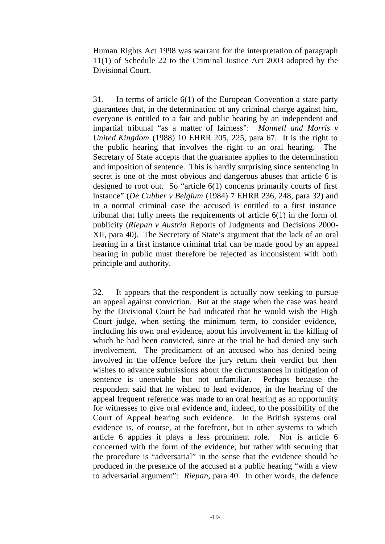Human Rights Act 1998 was warrant for the interpretation of paragraph 11(1) of Schedule 22 to the Criminal Justice Act 2003 adopted by the Divisional Court.

31. In terms of article 6(1) of the European Convention a state party guarantees that, in the determination of any criminal charge against him, everyone is entitled to a fair and public hearing by an independent and impartial tribunal "as a matter of fairness": *Monnell and Morris v United Kingdom* (1988) 10 EHRR 205, 225, para 67. It is the right to the public hearing that involves the right to an oral hearing. The Secretary of State accepts that the guarantee applies to the determination and imposition of sentence. This is hardly surprising since sentencing in secret is one of the most obvious and dangerous abuses that article 6 is designed to root out. So "article 6(1) concerns primarily courts of first instance" (*De Cubber v Belgium* (1984) 7 EHRR 236, 248, para 32) and in a normal criminal case the accused is entitled to a first instance tribunal that fully meets the requirements of article 6(1) in the form of publicity (*Riepan v Austria* Reports of Judgments and Decisions 2000- XII, para 40). The Secretary of State's argument that the lack of an oral hearing in a first instance criminal trial can be made good by an appeal hearing in public must therefore be rejected as inconsistent with both principle and authority.

32. It appears that the respondent is actually now seeking to pursue an appeal against conviction. But at the stage when the case was heard by the Divisional Court he had indicated that he would wish the High Court judge, when setting the minimum term, to consider evidence, including his own oral evidence, about his involvement in the killing of which he had been convicted, since at the trial he had denied any such involvement. The predicament of an accused who has denied being involved in the offence before the jury return their verdict but then wishes to advance submissions about the circumstances in mitigation of sentence is unenviable but not unfamiliar. Perhaps because the respondent said that he wished to lead evidence, in the hearing of the appeal frequent reference was made to an oral hearing as an opportunity for witnesses to give oral evidence and, indeed, to the possibility of the Court of Appeal hearing such evidence. In the British systems oral evidence is, of course, at the forefront, but in other systems to which article 6 applies it plays a less prominent role. Nor is article 6 concerned with the form of the evidence, but rather with securing that the procedure is "adversarial" in the sense that the evidence should be produced in the presence of the accused at a public hearing "with a view to adversarial argument": *Riepan*, para 40. In other words, the defence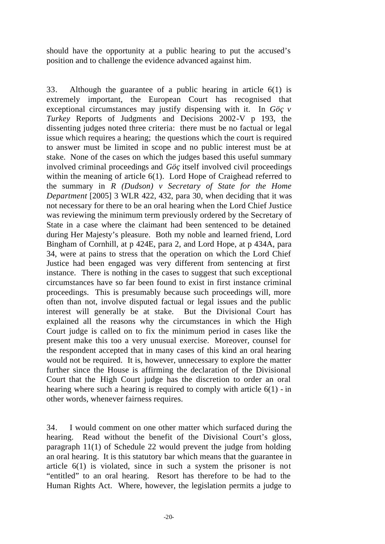should have the opportunity at a public hearing to put the accused's position and to challenge the evidence advanced against him.

33. Although the guarantee of a public hearing in article 6(1) is extremely important, the European Court has recognised that exceptional circumstances may justify dispensing with it. In *Göç v Turkey* Reports of Judgments and Decisions 2002-V p 193, the dissenting judges noted three criteria: there must be no factual or legal issue which requires a hearing; the questions which the court is required to answer must be limited in scope and no public interest must be at stake. None of the cases on which the judges based this useful summary involved criminal proceedings and *Göç* itself involved civil proceedings within the meaning of article 6(1). Lord Hope of Craighead referred to the summary in *R (Dudson) v Secretary of State for the Home Department* [2005] 3 WLR 422, 432, para 30, when deciding that it was not necessary for there to be an oral hearing when the Lord Chief Justice was reviewing the minimum term previously ordered by the Secretary of State in a case where the claimant had been sentenced to be detained during Her Majesty's pleasure. Both my noble and learned friend, Lord Bingham of Cornhill, at p 424E, para 2, and Lord Hope, at p 434A, para 34, were at pains to stress that the operation on which the Lord Chief Justice had been engaged was very different from sentencing at first instance. There is nothing in the cases to suggest that such exceptional circumstances have so far been found to exist in first instance criminal proceedings. This is presumably because such proceedings will, more often than not, involve disputed factual or legal issues and the public interest will generally be at stake. But the Divisional Court has explained all the reasons why the circumstances in which the High Court judge is called on to fix the minimum period in cases like the present make this too a very unusual exercise. Moreover, counsel for the respondent accepted that in many cases of this kind an oral hearing would not be required. It is, however, unnecessary to explore the matter further since the House is affirming the declaration of the Divisional Court that the High Court judge has the discretion to order an oral hearing where such a hearing is required to comply with article 6(1) - in other words, whenever fairness requires.

34. I would comment on one other matter which surfaced during the hearing. Read without the benefit of the Divisional Court's gloss, paragraph 11(1) of Schedule 22 would prevent the judge from holding an oral hearing. It is this statutory bar which means that the guarantee in article 6(1) is violated, since in such a system the prisoner is not "entitled" to an oral hearing. Resort has therefore to be had to the Human Rights Act. Where, however, the legislation permits a judge to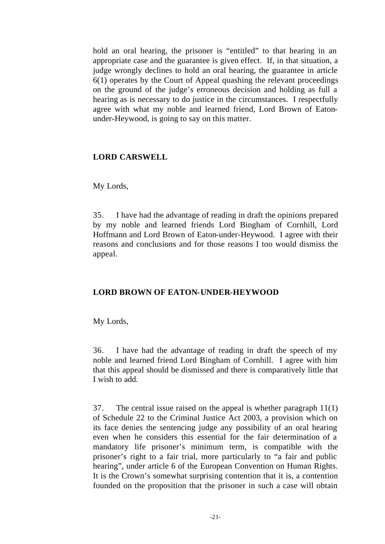hold an oral hearing, the prisoner is "entitled" to that hearing in an appropriate case and the guarantee is given effect. If, in that situation, a judge wrongly declines to hold an oral hearing, the guarantee in article 6(1) operates by the Court of Appeal quashing the relevant proceedings on the ground of the judge's erroneous decision and holding as full a hearing as is necessary to do justice in the circumstances. I respectfully agree with what my noble and learned friend, Lord Brown of Eatonunder-Heywood, is going to say on this matter.

# **LORD CARSWELL**

## My Lords,

35. I have had the advantage of reading in draft the opinions prepared by my noble and learned friends Lord Bingham of Cornhill, Lord Hoffmann and Lord Brown of Eaton-under-Heywood. I agree with their reasons and conclusions and for those reasons I too would dismiss the appeal.

# **LORD BROWN OF EATON-UNDER-HEYWOOD**

## My Lords,

36. I have had the advantage of reading in draft the speech of my noble and learned friend Lord Bingham of Cornhill. I agree with him that this appeal should be dismissed and there is comparatively little that I wish to add.

37. The central issue raised on the appeal is whether paragraph 11(1) of Schedule 22 to the Criminal Justice Act 2003, a provision which on its face denies the sentencing judge any possibility of an oral hearing even when he considers this essential for the fair determination of a mandatory life prisoner's minimum term, is compatible with the prisoner's right to a fair trial, more particularly to "a fair and public hearing", under article 6 of the European Convention on Human Rights. It is the Crown's somewhat surprising contention that it is, a contention founded on the proposition that the prisoner in such a case will obtain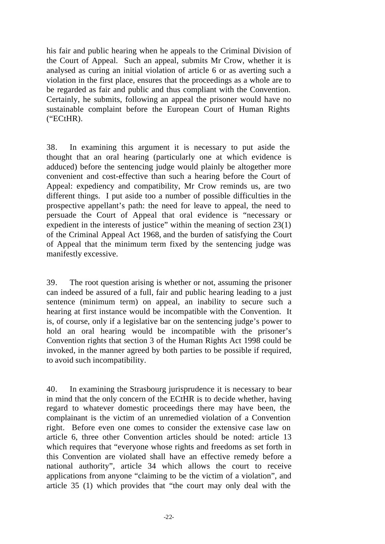his fair and public hearing when he appeals to the Criminal Division of the Court of Appeal. Such an appeal, submits Mr Crow, whether it is analysed as curing an initial violation of article 6 or as averting such a violation in the first place, ensures that the proceedings as a whole are to be regarded as fair and public and thus compliant with the Convention. Certainly, he submits, following an appeal the prisoner would have no sustainable complaint before the European Court of Human Rights ("ECtHR).

38. In examining this argument it is necessary to put aside the thought that an oral hearing (particularly one at which evidence is adduced) before the sentencing judge would plainly be altogether more convenient and cost-effective than such a hearing before the Court of Appeal: expediency and compatibility, Mr Crow reminds us, are two different things. I put aside too a number of possible difficulties in the prospective appellant's path: the need for leave to appeal, the need to persuade the Court of Appeal that oral evidence is "necessary or expedient in the interests of justice" within the meaning of section 23(1) of the Criminal Appeal Act 1968, and the burden of satisfying the Court of Appeal that the minimum term fixed by the sentencing judge was manifestly excessive.

39. The root question arising is whether or not, assuming the prisoner can indeed be assured of a full, fair and public hearing leading to a just sentence (minimum term) on appeal, an inability to secure such a hearing at first instance would be incompatible with the Convention. It is, of course, only if a legislative bar on the sentencing judge's power to hold an oral hearing would be incompatible with the prisoner's Convention rights that section 3 of the Human Rights Act 1998 could be invoked, in the manner agreed by both parties to be possible if required, to avoid such incompatibility.

40. In examining the Strasbourg jurisprudence it is necessary to bear in mind that the only concern of the ECtHR is to decide whether, having regard to whatever domestic proceedings there may have been, the complainant is the victim of an unremedied violation of a Convention right. Before even one comes to consider the extensive case law on article 6, three other Convention articles should be noted: article 13 which requires that "everyone whose rights and freedoms as set forth in this Convention are violated shall have an effective remedy before a national authority", article 34 which allows the court to receive applications from anyone "claiming to be the victim of a violation", and article 35 (1) which provides that "the court may only deal with the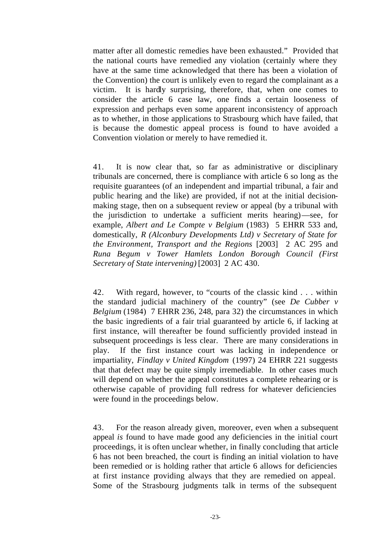matter after all domestic remedies have been exhausted." Provided that the national courts have remedied any violation (certainly where they have at the same time acknowledged that there has been a violation of the Convention) the court is unlikely even to regard the complainant as a victim. It is hardly surprising, therefore, that, when one comes to consider the article 6 case law, one finds a certain looseness of expression and perhaps even some apparent inconsistency of approach as to whether, in those applications to Strasbourg which have failed, that is because the domestic appeal process is found to have avoided a Convention violation or merely to have remedied it.

41. It is now clear that, so far as administrative or disciplinary tribunals are concerned, there is compliance with article 6 so long as the requisite guarantees (of an independent and impartial tribunal, a fair and public hearing and the like) are provided, if not at the initial decisionmaking stage, then on a subsequent review or appeal (by a tribunal with the jurisdiction to undertake a sufficient merits hearing)—see, for example, *Albert and Le Compte v Belgium* (1983) 5 EHRR 533 and, domestically, *R (Alconbury Developments Ltd) v Secretary of State for the Environment, Transport and the Regions* [2003] 2 AC 295 and *Runa Begum v Tower Hamlets London Borough Council (First Secretary of State intervening)* [2003] 2 AC 430.

42. With regard, however, to "courts of the classic kind . . . within the standard judicial machinery of the country" (see *De Cubber v Belgium* (1984) 7 EHRR 236, 248, para 32) the circumstances in which the basic ingredients of a fair trial guaranteed by article 6, if lacking at first instance, will thereafter be found sufficiently provided instead in subsequent proceedings is less clear. There are many considerations in play. If the first instance court was lacking in independence or impartiality, *Findlay v United Kingdom* (1997) 24 EHRR 221 suggests that that defect may be quite simply irremediable. In other cases much will depend on whether the appeal constitutes a complete rehearing or is otherwise capable of providing full redress for whatever deficiencies were found in the proceedings below.

43. For the reason already given, moreover, even when a subsequent appeal *is* found to have made good any deficiencies in the initial court proceedings, it is often unclear whether, in finally concluding that article 6 has not been breached, the court is finding an initial violation to have been remedied or is holding rather that article 6 allows for deficiencies at first instance providing always that they are remedied on appeal. Some of the Strasbourg judgments talk in terms of the subsequent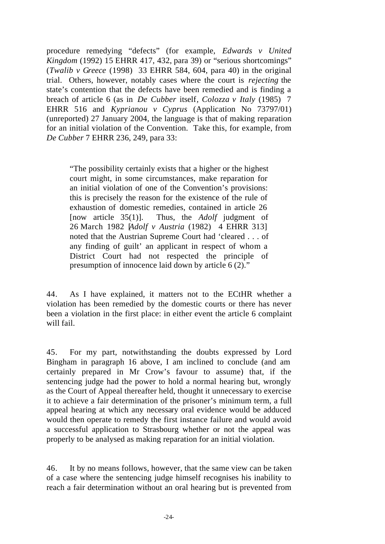procedure remedying "defects" (for example, *Edwards v United Kingdom* (1992) 15 EHRR 417, 432, para 39) or "serious shortcomings" (*Twalib v Greece* (1998) 33 EHRR 584, 604, para 40) in the original trial. Others, however, notably cases where the court is *rejecting* the state's contention that the defects have been remedied and is finding a breach of article 6 (as in *De Cubber* itself*, Colozza v Italy* (1985) 7 EHRR 516 and *Kyprianou v Cyprus* (Application No 73797/01) (unreported) 27 January 2004, the language is that of making reparation for an initial violation of the Convention. Take this, for example, from *De Cubber* 7 EHRR 236, 249, para 33:

"The possibility certainly exists that a higher or the highest court might, in some circumstances, make reparation for an initial violation of one of the Convention's provisions: this is precisely the reason for the existence of the rule of exhaustion of domestic remedies, contained in article 26 [now article 35(1)]. Thus, the *Adolf* judgment of 26 March 1982 [*Adolf v Austria* (1982) 4 EHRR 313] noted that the Austrian Supreme Court had 'cleared . . . of any finding of guilt' an applicant in respect of whom a District Court had not respected the principle of presumption of innocence laid down by article 6 (2)."

44. As I have explained, it matters not to the ECtHR whether a violation has been remedied by the domestic courts or there has never been a violation in the first place: in either event the article 6 complaint will fail.

45. For my part, notwithstanding the doubts expressed by Lord Bingham in paragraph 16 above, I am inclined to conclude (and am certainly prepared in Mr Crow's favour to assume) that, if the sentencing judge had the power to hold a normal hearing but, wrongly as the Court of Appeal thereafter held, thought it unnecessary to exercise it to achieve a fair determination of the prisoner's minimum term, a full appeal hearing at which any necessary oral evidence would be adduced would then operate to remedy the first instance failure and would avoid a successful application to Strasbourg whether or not the appeal was properly to be analysed as making reparation for an initial violation.

46. It by no means follows, however, that the same view can be taken of a case where the sentencing judge himself recognises his inability to reach a fair determination without an oral hearing but is prevented from